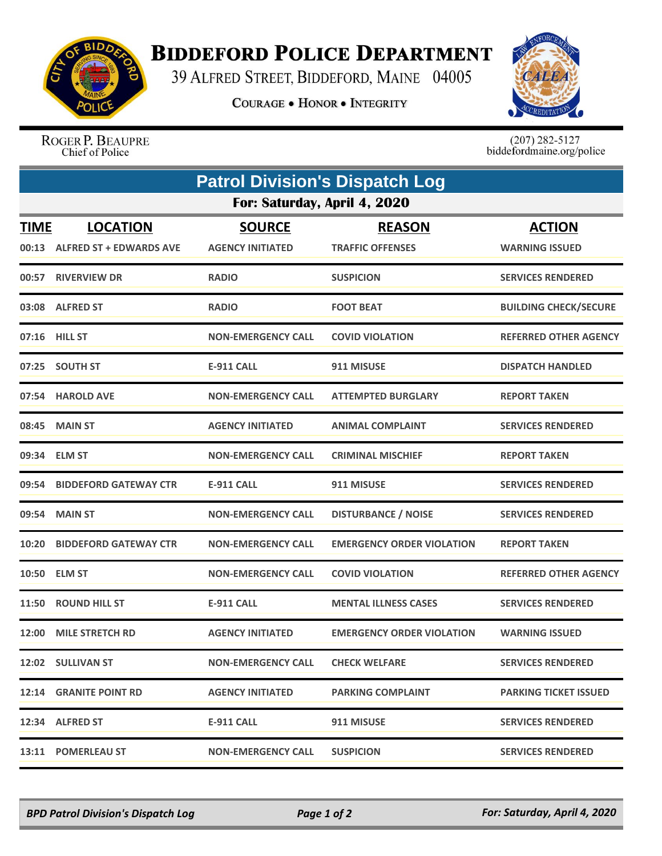

## **BIDDEFORD POLICE DEPARTMENT**

39 ALFRED STREET, BIDDEFORD, MAINE 04005

**COURAGE . HONOR . INTEGRITY** 



ROGER P. BEAUPRE Chief of Police

 $(207)$  282-5127<br>biddefordmaine.org/police

| <b>Patrol Division's Dispatch Log</b> |                                                   |                                          |                                          |                                        |  |  |
|---------------------------------------|---------------------------------------------------|------------------------------------------|------------------------------------------|----------------------------------------|--|--|
| For: Saturday, April 4, 2020          |                                                   |                                          |                                          |                                        |  |  |
| <b>TIME</b><br>00:13                  | <b>LOCATION</b><br><b>ALFRED ST + EDWARDS AVE</b> | <b>SOURCE</b><br><b>AGENCY INITIATED</b> | <b>REASON</b><br><b>TRAFFIC OFFENSES</b> | <b>ACTION</b><br><b>WARNING ISSUED</b> |  |  |
|                                       | 00:57 RIVERVIEW DR                                | <b>RADIO</b>                             | <b>SUSPICION</b>                         | <b>SERVICES RENDERED</b>               |  |  |
|                                       | 03:08 ALFRED ST                                   | <b>RADIO</b>                             | <b>FOOT BEAT</b>                         | <b>BUILDING CHECK/SECURE</b>           |  |  |
|                                       | 07:16 HILL ST                                     | <b>NON-EMERGENCY CALL</b>                | <b>COVID VIOLATION</b>                   | <b>REFERRED OTHER AGENCY</b>           |  |  |
| 07:25                                 | <b>SOUTH ST</b>                                   | <b>E-911 CALL</b>                        | 911 MISUSE                               | <b>DISPATCH HANDLED</b>                |  |  |
|                                       | 07:54 HAROLD AVE                                  | <b>NON-EMERGENCY CALL</b>                | <b>ATTEMPTED BURGLARY</b>                | <b>REPORT TAKEN</b>                    |  |  |
| 08:45                                 | <b>MAIN ST</b>                                    | <b>AGENCY INITIATED</b>                  | <b>ANIMAL COMPLAINT</b>                  | <b>SERVICES RENDERED</b>               |  |  |
| 09:34                                 | <b>ELM ST</b>                                     | <b>NON-EMERGENCY CALL</b>                | <b>CRIMINAL MISCHIEF</b>                 | <b>REPORT TAKEN</b>                    |  |  |
| 09:54                                 | <b>BIDDEFORD GATEWAY CTR</b>                      | <b>E-911 CALL</b>                        | 911 MISUSE                               | <b>SERVICES RENDERED</b>               |  |  |
| 09:54                                 | <b>MAIN ST</b>                                    | <b>NON-EMERGENCY CALL</b>                | <b>DISTURBANCE / NOISE</b>               | <b>SERVICES RENDERED</b>               |  |  |
| 10:20                                 | <b>BIDDEFORD GATEWAY CTR</b>                      | <b>NON-EMERGENCY CALL</b>                | <b>EMERGENCY ORDER VIOLATION</b>         | <b>REPORT TAKEN</b>                    |  |  |
| 10:50                                 | <b>ELM ST</b>                                     | <b>NON-EMERGENCY CALL</b>                | <b>COVID VIOLATION</b>                   | <b>REFERRED OTHER AGENCY</b>           |  |  |
| 11:50                                 | <b>ROUND HILL ST</b>                              | <b>E-911 CALL</b>                        | <b>MENTAL ILLNESS CASES</b>              | <b>SERVICES RENDERED</b>               |  |  |
| 12:00                                 | <b>MILE STRETCH RD</b>                            | <b>AGENCY INITIATED</b>                  | <b>EMERGENCY ORDER VIOLATION</b>         | <b>WARNING ISSUED</b>                  |  |  |
|                                       | 12:02 SULLIVAN ST                                 | <b>NON-EMERGENCY CALL</b>                | <b>CHECK WELFARE</b>                     | <b>SERVICES RENDERED</b>               |  |  |
|                                       | <b>12:14 GRANITE POINT RD</b>                     | <b>AGENCY INITIATED</b>                  | <b>PARKING COMPLAINT</b>                 | <b>PARKING TICKET ISSUED</b>           |  |  |
|                                       | 12:34 ALFRED ST                                   | <b>E-911 CALL</b>                        | 911 MISUSE                               | <b>SERVICES RENDERED</b>               |  |  |
|                                       | 13:11 POMERLEAU ST                                | <b>NON-EMERGENCY CALL</b>                | <b>SUSPICION</b>                         | <b>SERVICES RENDERED</b>               |  |  |